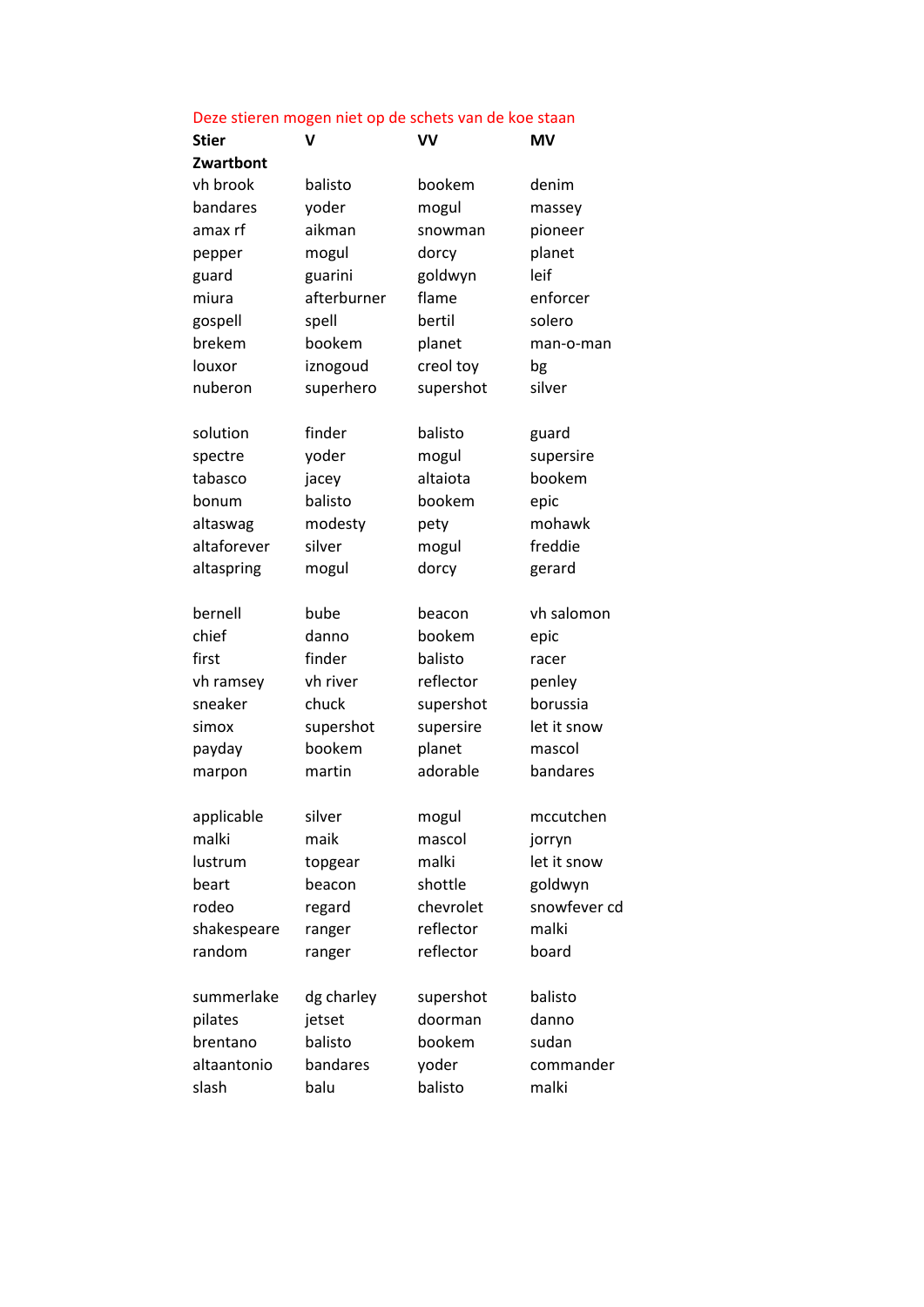|              | Deze stieren mogen niet op de schets van de koe staan |           |              |  |  |
|--------------|-------------------------------------------------------|-----------|--------------|--|--|
| <b>Stier</b> | v                                                     | VV        | <b>MV</b>    |  |  |
| Zwartbont    |                                                       |           |              |  |  |
| vh brook     | balisto                                               | bookem    | denim        |  |  |
| bandares     | yoder                                                 | mogul     | massey       |  |  |
| amax rf      | aikman                                                | snowman   | pioneer      |  |  |
| pepper       | mogul                                                 | dorcy     | planet       |  |  |
| guard        | guarini                                               | goldwyn   | leif         |  |  |
| miura        | afterburner                                           | flame     | enforcer     |  |  |
| gospell      | spell                                                 | bertil    | solero       |  |  |
| brekem       | bookem                                                | planet    | man-o-man    |  |  |
| louxor       | iznogoud                                              | creol toy | bg           |  |  |
| nuberon      | superhero                                             | supershot | silver       |  |  |
| solution     | finder                                                | balisto   | guard        |  |  |
| spectre      | yoder                                                 | mogul     | supersire    |  |  |
| tabasco      | jacey                                                 | altaiota  | bookem       |  |  |
| bonum        | balisto                                               | bookem    | epic         |  |  |
| altaswag     | modesty                                               | pety      | mohawk       |  |  |
| altaforever  | silver                                                | mogul     | freddie      |  |  |
| altaspring   | mogul                                                 | dorcy     | gerard       |  |  |
| bernell      | bube                                                  | beacon    | vh salomon   |  |  |
| chief        | danno                                                 | bookem    | epic         |  |  |
| first        | finder                                                | balisto   | racer        |  |  |
| vh ramsey    | vh river                                              | reflector | penley       |  |  |
| sneaker      | chuck                                                 | supershot | borussia     |  |  |
| simox        | supershot                                             | supersire | let it snow  |  |  |
| payday       | bookem                                                | planet    | mascol       |  |  |
| marpon       | martin                                                | adorable  | bandares     |  |  |
| applicable   | silver                                                | mogul     | mccutchen    |  |  |
| malki        | maik                                                  | mascol    | jorryn       |  |  |
| lustrum      | topgear                                               | malki     | let it snow  |  |  |
| beart        | beacon                                                | shottle   | goldwyn      |  |  |
| rodeo        | regard                                                | chevrolet | snowfever cd |  |  |
| shakespeare  | ranger                                                | reflector | malki        |  |  |
| random       | ranger                                                | reflector | board        |  |  |
| summerlake   | dg charley                                            | supershot | balisto      |  |  |
| pilates      | jetset                                                | doorman   | danno        |  |  |
| brentano     | balisto                                               | bookem    | sudan        |  |  |
| altaantonio  | bandares                                              | yoder     | commander    |  |  |
| slash        | balu                                                  | balisto   | malki        |  |  |